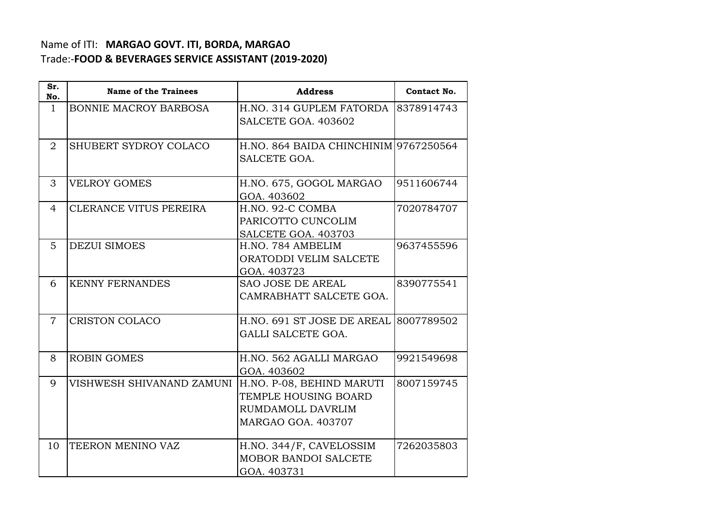## Name of ITI: **MARGAO GOVT. ITI, BORDA, MARGAO**  Trade:-**FOOD & BEVERAGES SERVICE ASSISTANT (2019-2020)**

| Sr.<br>No.     | <b>Name of the Trainees</b>  | <b>Address</b>                        | Contact No. |
|----------------|------------------------------|---------------------------------------|-------------|
| $\mathbf{1}$   | <b>BONNIE MACROY BARBOSA</b> | H.NO. 314 GUPLEM FATORDA              | 8378914743  |
|                |                              | SALCETE GOA. 403602                   |             |
|                |                              |                                       |             |
| 2              | SHUBERT SYDROY COLACO        | H.NO. 864 BAIDA CHINCHINIM 9767250564 |             |
|                |                              | SALCETE GOA.                          |             |
| 3              | <b>VELROY GOMES</b>          | H.NO. 675, GOGOL MARGAO               | 9511606744  |
|                |                              | GOA. 403602                           |             |
| 4              | CLERANCE VITUS PEREIRA       | H.NO. 92-C COMBA                      | 7020784707  |
|                |                              | PARICOTTO CUNCOLIM                    |             |
|                |                              | SALCETE GOA. 403703                   |             |
| 5              | <b>DEZUI SIMOES</b>          | H.NO. 784 AMBELIM                     | 9637455596  |
|                |                              | ORATODDI VELIM SALCETE                |             |
|                |                              | GOA. 403723                           |             |
| 6              | <b>KENNY FERNANDES</b>       | <b>SAO JOSE DE AREAL</b>              | 8390775541  |
|                |                              | CAMRABHATT SALCETE GOA.               |             |
| $\overline{7}$ | <b>CRISTON COLACO</b>        | H.NO. 691 ST JOSE DE AREAL            | 8007789502  |
|                |                              | GALLI SALCETE GOA.                    |             |
|                |                              |                                       |             |
| 8              | <b>ROBIN GOMES</b>           | H.NO. 562 AGALLI MARGAO               | 9921549698  |
|                |                              | GOA. 403602                           |             |
| 9              | VISHWESH SHIVANAND ZAMUNI    | H.NO. P-08, BEHIND MARUTI             | 8007159745  |
|                |                              | <b>TEMPLE HOUSING BOARD</b>           |             |
|                |                              | RUMDAMOLL DAVRLIM                     |             |
|                |                              | MARGAO GOA. 403707                    |             |
| 10             | TEERON MENINO VAZ            | H.NO. 344/F, CAVELOSSIM               | 7262035803  |
|                |                              | <b>MOBOR BANDOI SALCETE</b>           |             |
|                |                              | GOA. 403731                           |             |
|                |                              |                                       |             |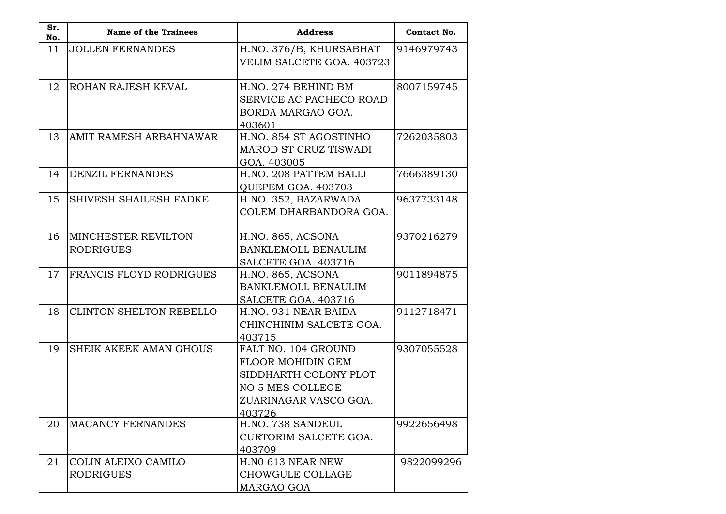| Sr.<br>No. | <b>Name of the Trainees</b>                    | <b>Address</b>                                                                                                                         | Contact No. |
|------------|------------------------------------------------|----------------------------------------------------------------------------------------------------------------------------------------|-------------|
| 11         | <b>JOLLEN FERNANDES</b>                        | H.NO. 376/B, KHURSABHAT<br>VELIM SALCETE GOA. 403723                                                                                   | 9146979743  |
| 12         | ROHAN RAJESH KEVAL                             | H.NO. 274 BEHIND BM<br>SERVICE AC PACHECO ROAD<br>BORDA MARGAO GOA.<br>403601                                                          | 8007159745  |
| 13         | AMIT RAMESH ARBAHNAWAR                         | H.NO. 854 ST AGOSTINHO<br>MAROD ST CRUZ TISWADI<br>GOA. 403005                                                                         | 7262035803  |
| 14         | <b>DENZIL FERNANDES</b>                        | H.NO. 208 PATTEM BALLI<br>QUEPEM GOA. 403703                                                                                           | 7666389130  |
| 15         | SHIVESH SHAILESH FADKE                         | H.NO. 352, BAZARWADA<br>COLEM DHARBANDORA GOA.                                                                                         | 9637733148  |
| 16         | <b>MINCHESTER REVILTON</b><br><b>RODRIGUES</b> | H.NO. 865, ACSONA<br>BANKLEMOLL BENAULIM<br>SALCETE GOA. 403716                                                                        | 9370216279  |
| 17         | FRANCIS FLOYD RODRIGUES                        | H.NO. 865, ACSONA<br><b>BANKLEMOLL BENAULIM</b><br>SALCETE GOA. 403716                                                                 | 9011894875  |
| 18         | CLINTON SHELTON REBELLO                        | H.NO. 931 NEAR BAIDA<br>CHINCHINIM SALCETE GOA.<br>403715                                                                              | 9112718471  |
| 19         | <b>SHEIK AKEEK AMAN GHOUS</b>                  | FALT NO. 104 GROUND<br><b>FLOOR MOHIDIN GEM</b><br>SIDDHARTH COLONY PLOT<br><b>NO 5 MES COLLEGE</b><br>ZUARINAGAR VASCO GOA.<br>403726 | 9307055528  |
| 20         | <b>MACANCY FERNANDES</b>                       | H.NO. 738 SANDEUL<br>CURTORIM SALCETE GOA.<br>403709                                                                                   | 9922656498  |
| 21         | COLIN ALEIXO CAMILO<br><b>RODRIGUES</b>        | H.NO 613 NEAR NEW<br>CHOWGULE COLLAGE<br>MARGAO GOA                                                                                    | 9822099296  |